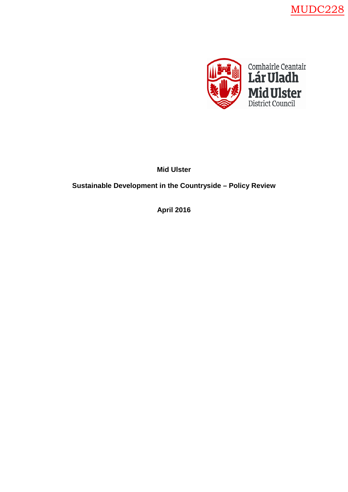MUDC228



**Mid Ulster**

**Sustainable Development in the Countryside – Policy Review**

**April 2016**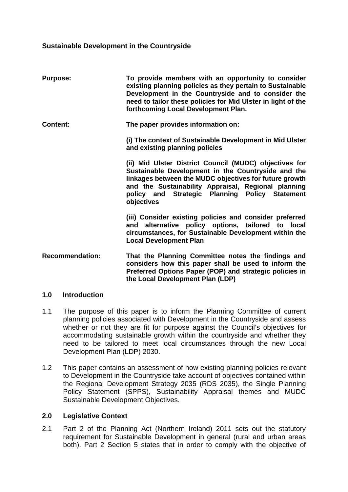#### **Sustainable Development in the Countryside**

| <b>Purpose:</b>        | To provide members with an opportunity to consider<br>existing planning policies as they pertain to Sustainable<br>Development in the Countryside and to consider the<br>need to tailor these policies for Mid Ulster in light of the<br>forthcoming Local Development Plan.                  |
|------------------------|-----------------------------------------------------------------------------------------------------------------------------------------------------------------------------------------------------------------------------------------------------------------------------------------------|
| <b>Content:</b>        | The paper provides information on:                                                                                                                                                                                                                                                            |
|                        | (i) The context of Sustainable Development in Mid Ulster<br>and existing planning policies                                                                                                                                                                                                    |
|                        | (ii) Mid Ulster District Council (MUDC) objectives for<br>Sustainable Development in the Countryside and the<br>linkages between the MUDC objectives for future growth<br>and the Sustainability Appraisal, Regional planning<br>policy and Strategic Planning Policy Statement<br>objectives |
|                        | (iii) Consider existing policies and consider preferred<br>and alternative policy options, tailored to local<br>circumstances, for Sustainable Development within the<br><b>Local Development Plan</b>                                                                                        |
| <b>Recommendation:</b> | That the Planning Committee notes the findings and<br>considers how this paper shall be used to inform the<br>Preferred Options Paper (POP) and strategic policies in<br>the Local Development Plan (LDP)                                                                                     |

#### **1.0 Introduction**

- 1.1 The purpose of this paper is to inform the Planning Committee of current planning policies associated with Development in the Countryside and assess whether or not they are fit for purpose against the Council's objectives for accommodating sustainable growth within the countryside and whether they need to be tailored to meet local circumstances through the new Local Development Plan (LDP) 2030.
- 1.2 This paper contains an assessment of how existing planning policies relevant to Development in the Countryside take account of objectives contained within the Regional Development Strategy 2035 (RDS 2035), the Single Planning Policy Statement (SPPS), Sustainability Appraisal themes and MUDC Sustainable Development Objectives.

#### **2.0 Legislative Context**

2.1 Part 2 of the Planning Act (Northern Ireland) 2011 sets out the statutory requirement for Sustainable Development in general (rural and urban areas both). Part 2 Section 5 states that in order to comply with the objective of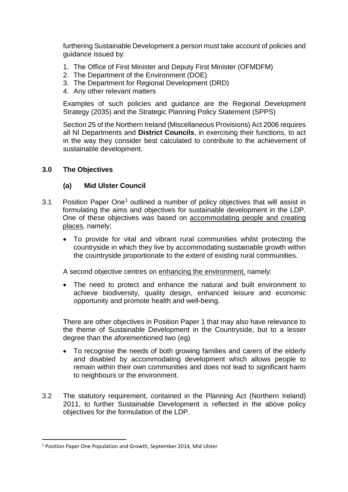furthering Sustainable Development a person must take account of policies and guidance issued by:

- 1. The Office of First Minister and Deputy First Minister (OFMDFM)
- 2. The Department of the Environment (DOE)
- 3. The Department for Regional Development (DRD)
- 4. Any other relevant matters

Examples of such policies and guidance are the Regional Development Strategy (2035) and the Strategic Planning Policy Statement (SPPS)

Section 25 of the Northern Ireland (Miscellaneous Provisions) Act 2006 requires all NI Departments and **District Councils**, in exercising their functions, to act in the way they consider best calculated to contribute to the achievement of sustainable development.

#### **3.0 The Objectives**

#### **(a) Mid Ulster Council**

- 3.[1](#page-2-0) Position Paper One<sup>1</sup> outlined a number of policy objectives that will assist in formulating the aims and objectives for sustainable development in the LDP. One of these objectives was based on accommodating people and creating places, namely;
	- To provide for vital and vibrant rural communities whilst protecting the countryside in which they live by accommodating sustainable growth within the countryside proportionate to the extent of existing rural communities.

A second objective centres on enhancing the environment, namely:

• The need to protect and enhance the natural and built environment to achieve biodiversity, quality design, enhanced leisure and economic opportunity and promote health and well-being.

There are other objectives in Position Paper 1 that may also have relevance to the theme of Sustainable Development in the Countryside, but to a lesser degree than the aforementioned two (eg)

- To recognise the needs of both growing families and carers of the elderly and disabled by accommodating development which allows people to remain within their own communities and does not lead to significant harm to neighbours or the environment.
- 3.2 The statutory requirement, contained in the Planning Act (Northern Ireland) 2011, to further Sustainable Development is reflected in the above policy objectives for the formulation of the LDP.

<span id="page-2-0"></span> <sup>1</sup> Position Paper One Population and Growth, September 2014, Mid Ulster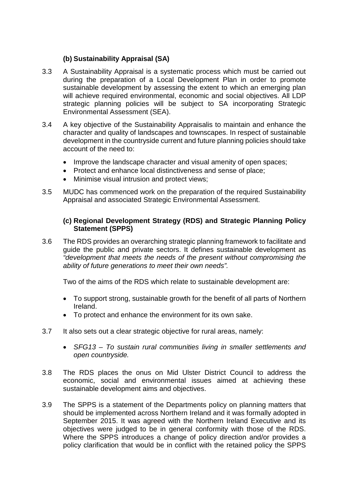# **(b) Sustainability Appraisal (SA)**

- 3.3 A Sustainability Appraisal is a systematic process which must be carried out during the preparation of a Local Development Plan in order to promote sustainable development by assessing the extent to which an emerging plan will achieve required environmental, economic and social objectives. All LDP strategic planning policies will be subject to SA incorporating Strategic Environmental Assessment (SEA).
- 3.4 A key objective of the Sustainability Appraisalis to maintain and enhance the character and quality of landscapes and townscapes. In respect of sustainable development in the countryside current and future planning policies should take account of the need to:
	- Improve the landscape character and visual amenity of open spaces;
	- Protect and enhance local distinctiveness and sense of place;
	- Minimise visual intrusion and protect views;
- 3.5 MUDC has commenced work on the preparation of the required Sustainability Appraisal and associated Strategic Environmental Assessment.

### **(c) Regional Development Strategy (RDS) and Strategic Planning Policy Statement (SPPS)**

3.6 The RDS provides an overarching strategic planning framework to facilitate and guide the public and private sectors. It defines sustainable development as *"development that meets the needs of the present without compromising the ability of future generations to meet their own needs".* 

Two of the aims of the RDS which relate to sustainable development are:

- To support strong, sustainable growth for the benefit of all parts of Northern Ireland.
- To protect and enhance the environment for its own sake.
- 3.7 It also sets out a clear strategic objective for rural areas, namely:
	- *SFG13 – To sustain rural communities living in smaller settlements and open countryside.*
- 3.8 The RDS places the onus on Mid Ulster District Council to address the economic, social and environmental issues aimed at achieving these sustainable development aims and objectives.
- 3.9 The SPPS is a statement of the Departments policy on planning matters that should be implemented across Northern Ireland and it was formally adopted in September 2015. It was agreed with the Northern Ireland Executive and its objectives were judged to be in general conformity with those of the RDS. Where the SPPS introduces a change of policy direction and/or provides a policy clarification that would be in conflict with the retained policy the SPPS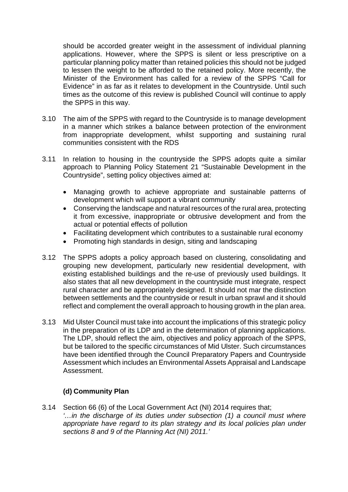should be accorded greater weight in the assessment of individual planning applications. However, where the SPPS is silent or less prescriptive on a particular planning policy matter than retained policies this should not be judged to lessen the weight to be afforded to the retained policy. More recently, the Minister of the Environment has called for a review of the SPPS "Call for Evidence" in as far as it relates to development in the Countryside. Until such times as the outcome of this review is published Council will continue to apply the SPPS in this way.

- 3.10 The aim of the SPPS with regard to the Countryside is to manage development in a manner which strikes a balance between protection of the environment from inappropriate development, whilst supporting and sustaining rural communities consistent with the RDS
- 3.11 In relation to housing in the countryside the SPPS adopts quite a similar approach to Planning Policy Statement 21 "Sustainable Development in the Countryside", setting policy objectives aimed at:
	- Managing growth to achieve appropriate and sustainable patterns of development which will support a vibrant community
	- Conserving the landscape and natural resources of the rural area, protecting it from excessive, inappropriate or obtrusive development and from the actual or potential effects of pollution
	- Facilitating development which contributes to a sustainable rural economy
	- Promoting high standards in design, siting and landscaping
- 3.12 The SPPS adopts a policy approach based on clustering, consolidating and grouping new development, particularly new residential development, with existing established buildings and the re-use of previously used buildings. It also states that all new development in the countryside must integrate, respect rural character and be appropriately designed. It should not mar the distinction between settlements and the countryside or result in urban sprawl and it should reflect and complement the overall approach to housing growth in the plan area.
- 3.13 Mid Ulster Council must take into account the implications of this strategic policy in the preparation of its LDP and in the determination of planning applications. The LDP, should reflect the aim, objectives and policy approach of the SPPS, but be tailored to the specific circumstances of Mid Ulster. Such circumstances have been identified through the Council Preparatory Papers and Countryside Assessment which includes an Environmental Assets Appraisal and Landscape Assessment.

#### **(d) Community Plan**

3.14 Section 66 (6) of the Local Government Act (NI) 2014 requires that; *'…in the discharge of its duties under subsection (1) a council must where appropriate have regard to its plan strategy and its local policies plan under sections 8 and 9 of the Planning Act (NI) 2011.'*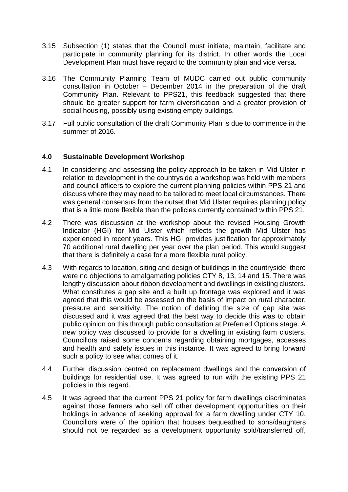- 3.15 Subsection (1) states that the Council must initiate, maintain, facilitate and participate in community planning for its district. In other words the Local Development Plan must have regard to the community plan and vice versa.
- 3.16 The Community Planning Team of MUDC carried out public community consultation in October – December 2014 in the preparation of the draft Community Plan. Relevant to PPS21, this feedback suggested that there should be greater support for farm diversification and a greater provision of social housing, possibly using existing empty buildings.
- 3.17 Full public consultation of the draft Community Plan is due to commence in the summer of 2016.

#### **4.0 Sustainable Development Workshop**

- 4.1 In considering and assessing the policy approach to be taken in Mid Ulster in relation to development in the countryside a workshop was held with members and council officers to explore the current planning policies within PPS 21 and discuss where they may need to be tailored to meet local circumstances. There was general consensus from the outset that Mid Ulster requires planning policy that is a little more flexible than the policies currently contained within PPS 21.
- 4.2 There was discussion at the workshop about the revised Housing Growth Indicator (HGI) for Mid Ulster which reflects the growth Mid Ulster has experienced in recent years. This HGI provides justification for approximately 70 additional rural dwelling per year over the plan period. This would suggest that there is definitely a case for a more flexible rural policy.
- 4.3 With regards to location, siting and design of buildings in the countryside, there were no objections to amalgamating policies CTY 8, 13, 14 and 15. There was lengthy discussion about ribbon development and dwellings in existing clusters. What constitutes a gap site and a built up frontage was explored and it was agreed that this would be assessed on the basis of impact on rural character, pressure and sensitivity. The notion of defining the size of gap site was discussed and it was agreed that the best way to decide this was to obtain public opinion on this through public consultation at Preferred Options stage. A new policy was discussed to provide for a dwelling in existing farm clusters. Councillors raised some concerns regarding obtaining mortgages, accesses and health and safety issues in this instance. It was agreed to bring forward such a policy to see what comes of it.
- 4.4 Further discussion centred on replacement dwellings and the conversion of buildings for residential use. It was agreed to run with the existing PPS 21 policies in this regard.
- 4.5 It was agreed that the current PPS 21 policy for farm dwellings discriminates against those farmers who sell off other development opportunities on their holdings in advance of seeking approval for a farm dwelling under CTY 10. Councillors were of the opinion that houses bequeathed to sons/daughters should not be regarded as a development opportunity sold/transferred off,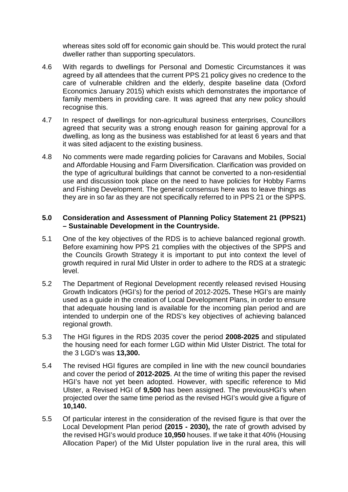whereas sites sold off for economic gain should be. This would protect the rural dweller rather than supporting speculators.

- 4.6 With regards to dwellings for Personal and Domestic Circumstances it was agreed by all attendees that the current PPS 21 policy gives no credence to the care of vulnerable children and the elderly, despite baseline data (Oxford Economics January 2015) which exists which demonstrates the importance of family members in providing care. It was agreed that any new policy should recognise this.
- 4.7 In respect of dwellings for non-agricultural business enterprises, Councillors agreed that security was a strong enough reason for gaining approval for a dwelling, as long as the business was established for at least 6 years and that it was sited adjacent to the existing business.
- 4.8 No comments were made regarding policies for Caravans and Mobiles, Social and Affordable Housing and Farm Diversification. Clarification was provided on the type of agricultural buildings that cannot be converted to a non-residential use and discussion took place on the need to have policies for Hobby Farms and Fishing Development. The general consensus here was to leave things as they are in so far as they are not specifically referred to in PPS 21 or the SPPS.

#### **5.0 Consideration and Assessment of Planning Policy Statement 21 (PPS21) – Sustainable Development in the Countryside.**

- 5.1 One of the key objectives of the RDS is to achieve balanced regional growth. Before examining how PPS 21 complies with the objectives of the SPPS and the Councils Growth Strategy it is important to put into context the level of growth required in rural Mid Ulster in order to adhere to the RDS at a strategic level.
- 5.2 The Department of Regional Development recently released revised Housing Growth Indicators (HGI's) for the period of 2012-2025**.** These HGI's are mainly used as a guide in the creation of Local Development Plans, in order to ensure that adequate housing land is available for the incoming plan period and are intended to underpin one of the RDS's key objectives of achieving balanced regional growth.
- 5.3 The HGI figures in the RDS 2035 cover the period **2008-2025** and stipulated the housing need for each former LGD within Mid Ulster District. The total for the 3 LGD's was **13,300.**
- 5.4 The revised HGI figures are compiled in line with the new council boundaries and cover the period of **2012-2025**. At the time of writing this paper the revised HGI's have not yet been adopted. However, with specific reference to Mid Ulster, a Revised HGI of **9,500** has been assigned. The previousHGI's when projected over the same time period as the revised HGI's would give a figure of **10,140.**
- 5.5 Of particular interest in the consideration of the revised figure is that over the Local Development Plan period **(2015 - 2030),** the rate of growth advised by the revised HGI's would produce **10,950** houses. If we take it that 40% (Housing Allocation Paper) of the Mid Ulster population live in the rural area, this will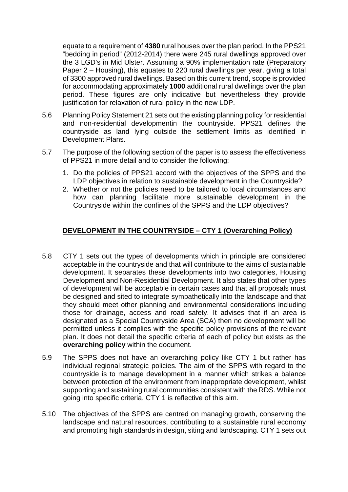equate to a requirement of **4380** rural houses over the plan period. In the PPS21 "bedding in period" (2012-2014) there were 245 rural dwellings approved over the 3 LGD's in Mid Ulster. Assuming a 90% implementation rate (Preparatory Paper 2 – Housing), this equates to 220 rural dwellings per year, giving a total of 3300 approved rural dwellings. Based on this current trend, scope is provided for accommodating approximately **1000** additional rural dwellings over the plan period. These figures are only indicative but nevertheless they provide justification for relaxation of rural policy in the new LDP.

- 5.6 Planning Policy Statement 21 sets out the existing planning policy for residential and non-residential developmentin the countryside. PPS21 defines the countryside as land lying outside the settlement limits as identified in Development Plans.
- 5.7 The purpose of the following section of the paper is to assess the effectiveness of PPS21 in more detail and to consider the following:
	- 1. Do the policies of PPS21 accord with the objectives of the SPPS and the LDP objectives in relation to sustainable development in the Countryside?
	- 2. Whether or not the policies need to be tailored to local circumstances and how can planning facilitate more sustainable development in the Countryside within the confines of the SPPS and the LDP objectives?

# **DEVELOPMENT IN THE COUNTRYSIDE – CTY 1 (Overarching Policy)**

- 5.8 CTY 1 sets out the types of developments which in principle are considered acceptable in the countryside and that will contribute to the aims of sustainable development. It separates these developments into two categories, Housing Development and Non-Residential Development. It also states that other types of development will be acceptable in certain cases and that all proposals must be designed and sited to integrate sympathetically into the landscape and that they should meet other planning and environmental considerations including those for drainage, access and road safety. It advises that if an area is designated as a Special Countryside Area (SCA) then no development will be permitted unless it complies with the specific policy provisions of the relevant plan. It does not detail the specific criteria of each of policy but exists as the **overarching policy** within the document.
- 5.9 The SPPS does not have an overarching policy like CTY 1 but rather has individual regional strategic policies. The aim of the SPPS with regard to the countryside is to manage development in a manner which strikes a balance between protection of the environment from inappropriate development, whilst supporting and sustaining rural communities consistent with the RDS. While not going into specific criteria, CTY 1 is reflective of this aim.
- 5.10 The objectives of the SPPS are centred on managing growth, conserving the landscape and natural resources, contributing to a sustainable rural economy and promoting high standards in design, siting and landscaping. CTY 1 sets out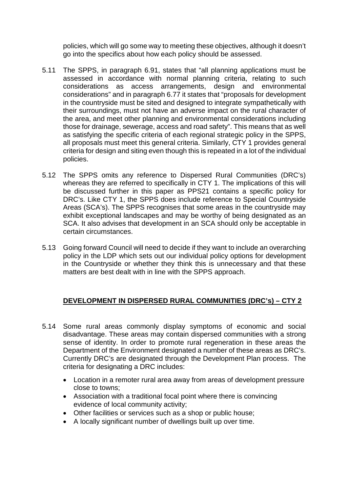policies, which will go some way to meeting these objectives, although it doesn't go into the specifics about how each policy should be assessed.

- 5.11 The SPPS, in paragraph 6.91, states that "all planning applications must be assessed in accordance with normal planning criteria, relating to such considerations as access arrangements, design and environmental considerations" and in paragraph 6.77 it states that "proposals for development in the countryside must be sited and designed to integrate sympathetically with their surroundings, must not have an adverse impact on the rural character of the area, and meet other planning and environmental considerations including those for drainage, sewerage, access and road safety". This means that as well as satisfying the specific criteria of each regional strategic policy in the SPPS, all proposals must meet this general criteria. Similarly, CTY 1 provides general criteria for design and siting even though this is repeated in a lot of the individual policies.
- 5.12 The SPPS omits any reference to Dispersed Rural Communities (DRC's) whereas they are referred to specifically in CTY 1. The implications of this will be discussed further in this paper as PPS21 contains a specific policy for DRC's. Like CTY 1, the SPPS does include reference to Special Countryside Areas (SCA's). The SPPS recognises that some areas in the countryside may exhibit exceptional landscapes and may be worthy of being designated as an SCA. It also advises that development in an SCA should only be acceptable in certain circumstances.
- 5.13 Going forward Council will need to decide if they want to include an overarching policy in the LDP which sets out our individual policy options for development in the Countryside or whether they think this is unnecessary and that these matters are best dealt with in line with the SPPS approach.

# **DEVELOPMENT IN DISPERSED RURAL COMMUNITIES (DRC's) – CTY 2**

- 5.14 Some rural areas commonly display symptoms of economic and social disadvantage. These areas may contain dispersed communities with a strong sense of identity. In order to promote rural regeneration in these areas the Department of the Environment designated a number of these areas as DRC's. Currently DRC's are designated through the Development Plan process. The criteria for designating a DRC includes:
	- Location in a remoter rural area away from areas of development pressure close to towns;
	- Association with a traditional focal point where there is convincing evidence of local community activity;
	- Other facilities or services such as a shop or public house;
	- A locally significant number of dwellings built up over time.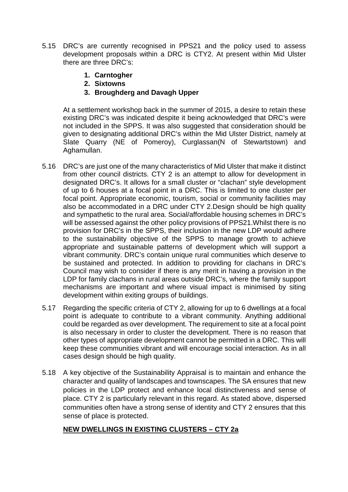- 5.15 DRC's are currently recognised in PPS21 and the policy used to assess development proposals within a DRC is CTY2. At present within Mid Ulster there are three DRC's:
	- **1. Carntogher**
	- **2. Sixtowns**
	- **3. Broughderg and Davagh Upper**

At a settlement workshop back in the summer of 2015, a desire to retain these existing DRC's was indicated despite it being acknowledged that DRC's were not included in the SPPS. It was also suggested that consideration should be given to designating additional DRC's within the Mid Ulster District, namely at Slate Quarry (NE of Pomeroy), Curglassan(N of Stewartstown) and Aghamullan.

- 5.16 DRC's are just one of the many characteristics of Mid Ulster that make it distinct from other council districts. CTY 2 is an attempt to allow for development in designated DRC's. It allows for a small cluster or "clachan" style development of up to 6 houses at a focal point in a DRC. This is limited to one cluster per focal point. Appropriate economic, tourism, social or community facilities may also be accommodated in a DRC under CTY 2.Design should be high quality and sympathetic to the rural area. Social/affordable housing schemes in DRC's will be assessed against the other policy provisions of PPS21. Whilst there is no provision for DRC's in the SPPS, their inclusion in the new LDP would adhere to the sustainability objective of the SPPS to manage growth to achieve appropriate and sustainable patterns of development which will support a vibrant community. DRC's contain unique rural communities which deserve to be sustained and protected. In addition to providing for clachans in DRC's Council may wish to consider if there is any merit in having a provision in the LDP for family clachans in rural areas outside DRC's, where the family support mechanisms are important and where visual impact is minimised by siting development within exiting groups of buildings.
- 5.17 Regarding the specific criteria of CTY 2, allowing for up to 6 dwellings at a focal point is adequate to contribute to a vibrant community. Anything additional could be regarded as over development. The requirement to site at a focal point is also necessary in order to cluster the development. There is no reason that other types of appropriate development cannot be permitted in a DRC. This will keep these communities vibrant and will encourage social interaction. As in all cases design should be high quality.
- 5.18 A key objective of the Sustainability Appraisal is to maintain and enhance the character and quality of landscapes and townscapes. The SA ensures that new policies in the LDP protect and enhance local distinctiveness and sense of place. CTY 2 is particularly relevant in this regard. As stated above, dispersed communities often have a strong sense of identity and CTY 2 ensures that this sense of place is protected.

# **NEW DWELLINGS IN EXISTING CLUSTERS – CTY 2a**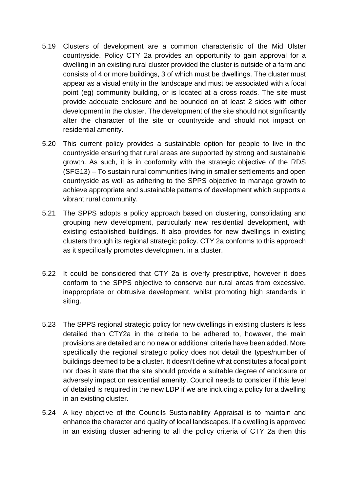- 5.19 Clusters of development are a common characteristic of the Mid Ulster countryside. Policy CTY 2a provides an opportunity to gain approval for a dwelling in an existing rural cluster provided the cluster is outside of a farm and consists of 4 or more buildings, 3 of which must be dwellings. The cluster must appear as a visual entity in the landscape and must be associated with a focal point (eg) community building, or is located at a cross roads. The site must provide adequate enclosure and be bounded on at least 2 sides with other development in the cluster. The development of the site should not significantly alter the character of the site or countryside and should not impact on residential amenity.
- 5.20 This current policy provides a sustainable option for people to live in the countryside ensuring that rural areas are supported by strong and sustainable growth. As such, it is in conformity with the strategic objective of the RDS (SFG13) – To sustain rural communities living in smaller settlements and open countryside as well as adhering to the SPPS objective to manage growth to achieve appropriate and sustainable patterns of development which supports a vibrant rural community.
- 5.21 The SPPS adopts a policy approach based on clustering, consolidating and grouping new development, particularly new residential development, with existing established buildings. It also provides for new dwellings in existing clusters through its regional strategic policy. CTY 2a conforms to this approach as it specifically promotes development in a cluster.
- 5.22 It could be considered that CTY 2a is overly prescriptive, however it does conform to the SPPS objective to conserve our rural areas from excessive, inappropriate or obtrusive development, whilst promoting high standards in siting.
- 5.23 The SPPS regional strategic policy for new dwellings in existing clusters is less detailed than CTY2a in the criteria to be adhered to, however, the main provisions are detailed and no new or additional criteria have been added. More specifically the regional strategic policy does not detail the types/number of buildings deemed to be a cluster. It doesn't define what constitutes a focal point nor does it state that the site should provide a suitable degree of enclosure or adversely impact on residential amenity. Council needs to consider if this level of detailed is required in the new LDP if we are including a policy for a dwelling in an existing cluster.
- 5.24 A key objective of the Councils Sustainability Appraisal is to maintain and enhance the character and quality of local landscapes. If a dwelling is approved in an existing cluster adhering to all the policy criteria of CTY 2a then this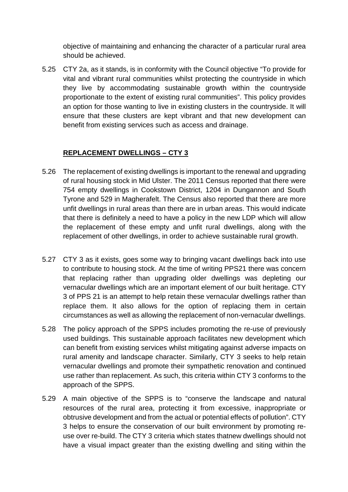objective of maintaining and enhancing the character of a particular rural area should be achieved.

5.25 CTY 2a, as it stands, is in conformity with the Council objective "To provide for vital and vibrant rural communities whilst protecting the countryside in which they live by accommodating sustainable growth within the countryside proportionate to the extent of existing rural communities". This policy provides an option for those wanting to live in existing clusters in the countryside. It will ensure that these clusters are kept vibrant and that new development can benefit from existing services such as access and drainage.

# **REPLACEMENT DWELLINGS – CTY 3**

- 5.26 The replacement of existing dwellings is important to the renewal and upgrading of rural housing stock in Mid Ulster. The 2011 Census reported that there were 754 empty dwellings in Cookstown District, 1204 in Dungannon and South Tyrone and 529 in Magherafelt. The Census also reported that there are more unfit dwellings in rural areas than there are in urban areas. This would indicate that there is definitely a need to have a policy in the new LDP which will allow the replacement of these empty and unfit rural dwellings, along with the replacement of other dwellings, in order to achieve sustainable rural growth.
- 5.27 CTY 3 as it exists, goes some way to bringing vacant dwellings back into use to contribute to housing stock. At the time of writing PPS21 there was concern that replacing rather than upgrading older dwellings was depleting our vernacular dwellings which are an important element of our built heritage. CTY 3 of PPS 21 is an attempt to help retain these vernacular dwellings rather than replace them. It also allows for the option of replacing them in certain circumstances as well as allowing the replacement of non-vernacular dwellings.
- 5.28 The policy approach of the SPPS includes promoting the re-use of previously used buildings. This sustainable approach facilitates new development which can benefit from existing services whilst mitigating against adverse impacts on rural amenity and landscape character. Similarly, CTY 3 seeks to help retain vernacular dwellings and promote their sympathetic renovation and continued use rather than replacement. As such, this criteria within CTY 3 conforms to the approach of the SPPS.
- 5.29 A main objective of the SPPS is to "conserve the landscape and natural resources of the rural area, protecting it from excessive, inappropriate or obtrusive development and from the actual or potential effects of pollution". CTY 3 helps to ensure the conservation of our built environment by promoting reuse over re-build. The CTY 3 criteria which states thatnew dwellings should not have a visual impact greater than the existing dwelling and siting within the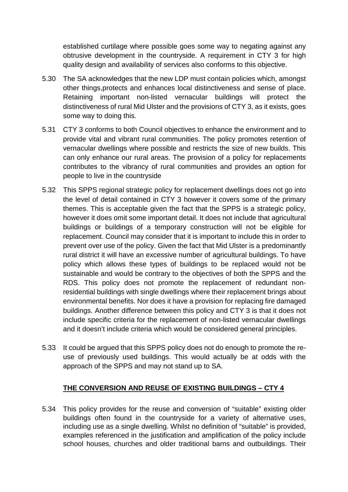established curtilage where possible goes some way to negating against any obtrusive development in the countryside. A requirement in CTY 3 for high quality design and availability of services also conforms to this objective.

- 5.30 The SA acknowledges that the new LDP must contain policies which, amongst other things,protects and enhances local distinctiveness and sense of place. Retaining important non-listed vernacular buildings will protect the distinctiveness of rural Mid Ulster and the provisions of CTY 3, as it exists, goes some way to doing this.
- 5.31 CTY 3 conforms to both Council objectives to enhance the environment and to provide vital and vibrant rural communities. The policy promotes retention of vernacular dwellings where possible and restricts the size of new builds. This can only enhance our rural areas. The provision of a policy for replacements contributes to the vibrancy of rural communities and provides an option for people to live in the countryside
- 5.32 This SPPS regional strategic policy for replacement dwellings does not go into the level of detail contained in CTY 3 however it covers some of the primary themes. This is acceptable given the fact that the SPPS is a strategic policy, however it does omit some important detail. It does not include that agricultural buildings or buildings of a temporary construction will not be eligible for replacement. Council may consider that it is important to include this in order to prevent over use of the policy. Given the fact that Mid Ulster is a predominantly rural district it will have an excessive number of agricultural buildings. To have policy which allows these types of buildings to be replaced would not be sustainable and would be contrary to the objectives of both the SPPS and the RDS. This policy does not promote the replacement of redundant nonresidential buildings with single dwellings where their replacement brings about environmental benefits. Nor does it have a provision for replacing fire damaged buildings. Another difference between this policy and CTY 3 is that it does not include specific criteria for the replacement of non-listed vernacular dwellings and it doesn't include criteria which would be considered general principles.
- 5.33 It could be argued that this SPPS policy does not do enough to promote the reuse of previously used buildings. This would actually be at odds with the approach of the SPPS and may not stand up to SA.

# **THE CONVERSION AND REUSE OF EXISTING BUILDINGS – CTY 4**

5.34 This policy provides for the reuse and conversion of "suitable" existing older buildings often found in the countryside for a variety of alternative uses, including use as a single dwelling. Whilst no definition of "suitable" is provided, examples referenced in the justification and amplification of the policy include school houses, churches and older traditional barns and outbuildings. Their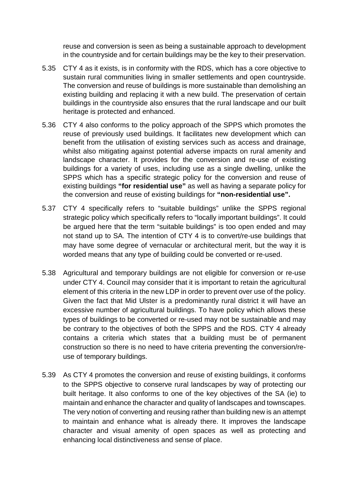reuse and conversion is seen as being a sustainable approach to development in the countryside and for certain buildings may be the key to their preservation.

- 5.35 CTY 4 as it exists, is in conformity with the RDS, which has a core objective to sustain rural communities living in smaller settlements and open countryside. The conversion and reuse of buildings is more sustainable than demolishing an existing building and replacing it with a new build. The preservation of certain buildings in the countryside also ensures that the rural landscape and our built heritage is protected and enhanced.
- 5.36 CTY 4 also conforms to the policy approach of the SPPS which promotes the reuse of previously used buildings. It facilitates new development which can benefit from the utilisation of existing services such as access and drainage, whilst also mitigating against potential adverse impacts on rural amenity and landscape character. It provides for the conversion and re-use of existing buildings for a variety of uses, including use as a single dwelling, unlike the SPPS which has a specific strategic policy for the conversion and reuse of existing buildings **"for residential use"** as well as having a separate policy for the conversion and reuse of existing buildings for **"non-residential use".**
- 5.37 CTY 4 specifically refers to "suitable buildings" unlike the SPPS regional strategic policy which specifically refers to "locally important buildings". It could be argued here that the term "suitable buildings" is too open ended and may not stand up to SA. The intention of CTY 4 is to convert/re-use buildings that may have some degree of vernacular or architectural merit, but the way it is worded means that any type of building could be converted or re-used.
- 5.38 Agricultural and temporary buildings are not eligible for conversion or re-use under CTY 4. Council may consider that it is important to retain the agricultural element of this criteria in the new LDP in order to prevent over use of the policy. Given the fact that Mid Ulster is a predominantly rural district it will have an excessive number of agricultural buildings. To have policy which allows these types of buildings to be converted or re-used may not be sustainable and may be contrary to the objectives of both the SPPS and the RDS. CTY 4 already contains a criteria which states that a building must be of permanent construction so there is no need to have criteria preventing the conversion/reuse of temporary buildings.
- 5.39 As CTY 4 promotes the conversion and reuse of existing buildings, it conforms to the SPPS objective to conserve rural landscapes by way of protecting our built heritage. It also conforms to one of the key objectives of the SA (ie) to maintain and enhance the character and quality of landscapes and townscapes. The very notion of converting and reusing rather than building new is an attempt to maintain and enhance what is already there. It improves the landscape character and visual amenity of open spaces as well as protecting and enhancing local distinctiveness and sense of place.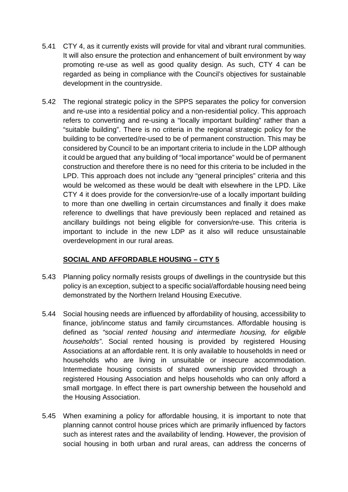- 5.41 CTY 4, as it currently exists will provide for vital and vibrant rural communities. It will also ensure the protection and enhancement of built environment by way promoting re-use as well as good quality design. As such, CTY 4 can be regarded as being in compliance with the Council's objectives for sustainable development in the countryside.
- 5.42 The regional strategic policy in the SPPS separates the policy for conversion and re-use into a residential policy and a non-residential policy. This approach refers to converting and re-using a "locally important building" rather than a "suitable building". There is no criteria in the regional strategic policy for the building to be converted/re-used to be of permanent construction. This may be considered by Council to be an important criteria to include in the LDP although it could be argued that any building of "local importance" would be of permanent construction and therefore there is no need for this criteria to be included in the LPD. This approach does not include any "general principles" criteria and this would be welcomed as these would be dealt with elsewhere in the LPD. Like CTY 4 it does provide for the conversion/re-use of a locally important building to more than one dwelling in certain circumstances and finally it does make reference to dwellings that have previously been replaced and retained as ancillary buildings not being eligible for conversion/re-use. This criteria is important to include in the new LDP as it also will reduce unsustainable overdevelopment in our rural areas.

# **SOCIAL AND AFFORDABLE HOUSING – CTY 5**

- 5.43 Planning policy normally resists groups of dwellings in the countryside but this policy is an exception, subject to a specific social/affordable housing need being demonstrated by the Northern Ireland Housing Executive.
- 5.44 Social housing needs are influenced by affordability of housing, accessibility to finance, job/income status and family circumstances. Affordable housing is defined as *"social rented housing and intermediate housing, for eligible households"*. Social rented housing is provided by registered Housing Associations at an affordable rent. It is only available to households in need or households who are living in unsuitable or insecure accommodation. Intermediate housing consists of shared ownership provided through a registered Housing Association and helps households who can only afford a small mortgage. In effect there is part ownership between the household and the Housing Association.
- 5.45 When examining a policy for affordable housing, it is important to note that planning cannot control house prices which are primarily influenced by factors such as interest rates and the availability of lending. However, the provision of social housing in both urban and rural areas, can address the concerns of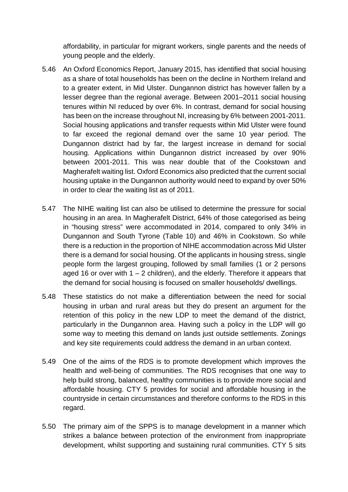affordability, in particular for migrant workers, single parents and the needs of young people and the elderly.

- 5.46 An Oxford Economics Report, January 2015, has identified that social housing as a share of total households has been on the decline in Northern Ireland and to a greater extent, in Mid Ulster. Dungannon district has however fallen by a lesser degree than the regional average. Between 2001–2011 social housing tenures within NI reduced by over 6%. In contrast, demand for social housing has been on the increase throughout NI, increasing by 6% between 2001-2011. Social housing applications and transfer requests within Mid Ulster were found to far exceed the regional demand over the same 10 year period. The Dungannon district had by far, the largest increase in demand for social housing. Applications within Dungannon district increased by over 90% between 2001-2011. This was near double that of the Cookstown and Magherafelt waiting list. Oxford Economics also predicted that the current social housing uptake in the Dungannon authority would need to expand by over 50% in order to clear the waiting list as of 2011.
- 5.47 The NIHE waiting list can also be utilised to determine the pressure for social housing in an area. In Magherafelt District, 64% of those categorised as being in "housing stress" were accommodated in 2014, compared to only 34% in Dungannon and South Tyrone (Table 10) and 46% in Cookstown. So while there is a reduction in the proportion of NIHE accommodation across Mid Ulster there is a demand for social housing. Of the applicants in housing stress, single people form the largest grouping, followed by small families (1 or 2 persons aged 16 or over with  $1 - 2$  children), and the elderly. Therefore it appears that the demand for social housing is focused on smaller households/ dwellings.
- 5.48 These statistics do not make a differentiation between the need for social housing in urban and rural areas but they do present an argument for the retention of this policy in the new LDP to meet the demand of the district, particularly in the Dungannon area. Having such a policy in the LDP will go some way to meeting this demand on lands just outside settlements. Zonings and key site requirements could address the demand in an urban context.
- 5.49 One of the aims of the RDS is to promote development which improves the health and well-being of communities. The RDS recognises that one way to help build strong, balanced, healthy communities is to provide more social and affordable housing. CTY 5 provides for social and affordable housing in the countryside in certain circumstances and therefore conforms to the RDS in this regard.
- 5.50 The primary aim of the SPPS is to manage development in a manner which strikes a balance between protection of the environment from inappropriate development, whilst supporting and sustaining rural communities. CTY 5 sits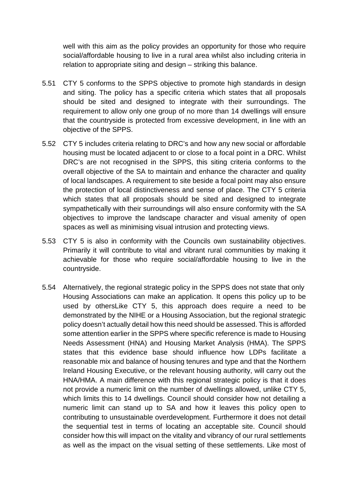well with this aim as the policy provides an opportunity for those who require social/affordable housing to live in a rural area whilst also including criteria in relation to appropriate siting and design – striking this balance.

- 5.51 CTY 5 conforms to the SPPS objective to promote high standards in design and siting. The policy has a specific criteria which states that all proposals should be sited and designed to integrate with their surroundings. The requirement to allow only one group of no more than 14 dwellings will ensure that the countryside is protected from excessive development, in line with an objective of the SPPS.
- 5.52 CTY 5 includes criteria relating to DRC's and how any new social or affordable housing must be located adjacent to or close to a focal point in a DRC. Whilst DRC's are not recognised in the SPPS, this siting criteria conforms to the overall objective of the SA to maintain and enhance the character and quality of local landscapes. A requirement to site beside a focal point may also ensure the protection of local distinctiveness and sense of place. The CTY 5 criteria which states that all proposals should be sited and designed to integrate sympathetically with their surroundings will also ensure conformity with the SA objectives to improve the landscape character and visual amenity of open spaces as well as minimising visual intrusion and protecting views.
- 5.53 CTY 5 is also in conformity with the Councils own sustainability objectives. Primarily it will contribute to vital and vibrant rural communities by making it achievable for those who require social/affordable housing to live in the countryside.
- 5.54 Alternatively, the regional strategic policy in the SPPS does not state that only Housing Associations can make an application. It opens this policy up to be used by othersLike CTY 5, this approach does require a need to be demonstrated by the NIHE or a Housing Association, but the regional strategic policy doesn't actually detail how this need should be assessed. This is afforded some attention earlier in the SPPS where specific reference is made to Housing Needs Assessment (HNA) and Housing Market Analysis (HMA). The SPPS states that this evidence base should influence how LDPs facilitate a reasonable mix and balance of housing tenures and type and that the Northern Ireland Housing Executive, or the relevant housing authority, will carry out the HNA/HMA. A main difference with this regional strategic policy is that it does not provide a numeric limit on the number of dwellings allowed, unlike CTY 5, which limits this to 14 dwellings. Council should consider how not detailing a numeric limit can stand up to SA and how it leaves this policy open to contributing to unsustainable overdevelopment. Furthermore it does not detail the sequential test in terms of locating an acceptable site. Council should consider how this will impact on the vitality and vibrancy of our rural settlements as well as the impact on the visual setting of these settlements. Like most of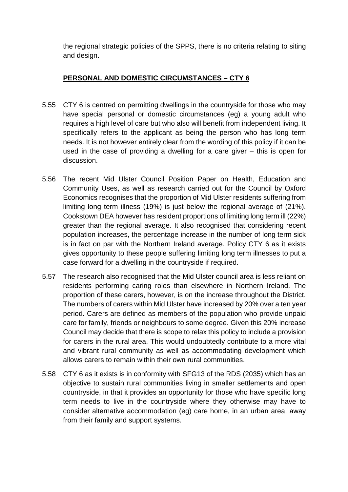the regional strategic policies of the SPPS, there is no criteria relating to siting and design.

# **PERSONAL AND DOMESTIC CIRCUMSTANCES – CTY 6**

- 5.55 CTY 6 is centred on permitting dwellings in the countryside for those who may have special personal or domestic circumstances (eg) a young adult who requires a high level of care but who also will benefit from independent living. It specifically refers to the applicant as being the person who has long term needs. It is not however entirely clear from the wording of this policy if it can be used in the case of providing a dwelling for a care giver – this is open for discussion.
- 5.56 The recent Mid Ulster Council Position Paper on Health, Education and Community Uses, as well as research carried out for the Council by Oxford Economics recognises that the proportion of Mid Ulster residents suffering from limiting long term illness (19%) is just below the regional average of (21%). Cookstown DEA however has resident proportions of limiting long term ill (22%) greater than the regional average. It also recognised that considering recent population increases, the percentage increase in the number of long term sick is in fact on par with the Northern Ireland average. Policy CTY 6 as it exists gives opportunity to these people suffering limiting long term illnesses to put a case forward for a dwelling in the countryside if required.
- 5.57 The research also recognised that the Mid Ulster council area is less reliant on residents performing caring roles than elsewhere in Northern Ireland. The proportion of these carers, however, is on the increase throughout the District. The numbers of carers within Mid Ulster have increased by 20% over a ten year period. Carers are defined as members of the population who provide unpaid care for family, friends or neighbours to some degree. Given this 20% increase Council may decide that there is scope to relax this policy to include a provision for carers in the rural area. This would undoubtedly contribute to a more vital and vibrant rural community as well as accommodating development which allows carers to remain within their own rural communities.
- 5.58 CTY 6 as it exists is in conformity with SFG13 of the RDS (2035) which has an objective to sustain rural communities living in smaller settlements and open countryside, in that it provides an opportunity for those who have specific long term needs to live in the countryside where they otherwise may have to consider alternative accommodation (eg) care home, in an urban area, away from their family and support systems.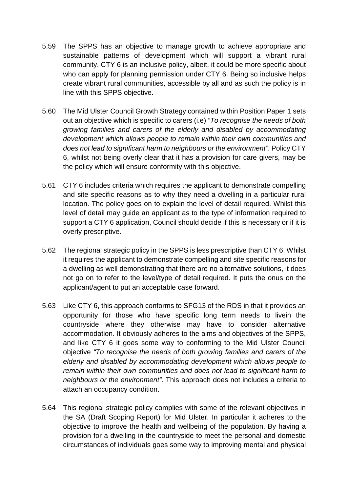- 5.59 The SPPS has an objective to manage growth to achieve appropriate and sustainable patterns of development which will support a vibrant rural community. CTY 6 is an inclusive policy, albeit, it could be more specific about who can apply for planning permission under CTY 6. Being so inclusive helps create vibrant rural communities, accessible by all and as such the policy is in line with this SPPS objective.
- 5.60 The Mid Ulster Council Growth Strategy contained within Position Paper 1 sets out an objective which is specific to carers (i.e) *"To recognise the needs of both growing families and carers of the elderly and disabled by accommodating development which allows people to remain within their own communities and does not lead to significant harm to neighbours or the environment"*. Policy CTY 6, whilst not being overly clear that it has a provision for care givers, may be the policy which will ensure conformity with this objective.
- 5.61 CTY 6 includes criteria which requires the applicant to demonstrate compelling and site specific reasons as to why they need a dwelling in a particular rural location. The policy goes on to explain the level of detail required. Whilst this level of detail may guide an applicant as to the type of information required to support a CTY 6 application, Council should decide if this is necessary or if it is overly prescriptive.
- 5.62 The regional strategic policy in the SPPS is less prescriptive than CTY 6. Whilst it requires the applicant to demonstrate compelling and site specific reasons for a dwelling as well demonstrating that there are no alternative solutions, it does not go on to refer to the level/type of detail required. It puts the onus on the applicant/agent to put an acceptable case forward.
- 5.63 Like CTY 6, this approach conforms to SFG13 of the RDS in that it provides an opportunity for those who have specific long term needs to livein the countryside where they otherwise may have to consider alternative accommodation. It obviously adheres to the aims and objectives of the SPPS, and like CTY 6 it goes some way to conforming to the Mid Ulster Council objective *"To recognise the needs of both growing families and carers of the elderly and disabled by accommodating development which allows people to remain within their own communities and does not lead to significant harm to neighbours or the environment"*. This approach does not includes a criteria to attach an occupancy condition.
- 5.64 This regional strategic policy complies with some of the relevant objectives in the SA (Draft Scoping Report) for Mid Ulster. In particular it adheres to the objective to improve the health and wellbeing of the population. By having a provision for a dwelling in the countryside to meet the personal and domestic circumstances of individuals goes some way to improving mental and physical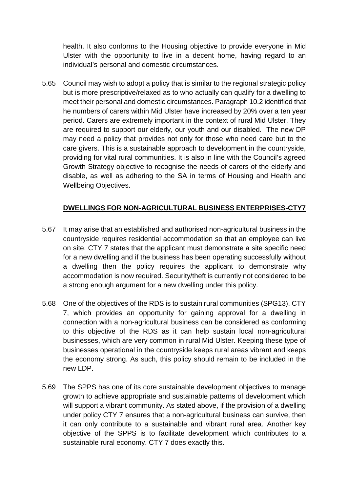health. It also conforms to the Housing objective to provide everyone in Mid Ulster with the opportunity to live in a decent home, having regard to an individual's personal and domestic circumstances.

5.65 Council may wish to adopt a policy that is similar to the regional strategic policy but is more prescriptive/relaxed as to who actually can qualify for a dwelling to meet their personal and domestic circumstances. Paragraph 10.2 identified that he numbers of carers within Mid Ulster have increased by 20% over a ten year period. Carers are extremely important in the context of rural Mid Ulster. They are required to support our elderly, our youth and our disabled. The new DP may need a policy that provides not only for those who need care but to the care givers. This is a sustainable approach to development in the countryside, providing for vital rural communities. It is also in line with the Council's agreed Growth Strategy objective to recognise the needs of carers of the elderly and disable, as well as adhering to the SA in terms of Housing and Health and Wellbeing Objectives.

# **DWELLINGS FOR NON-AGRICULTURAL BUSINESS ENTERPRISES-CTY7**

- 5.67 It may arise that an established and authorised non-agricultural business in the countryside requires residential accommodation so that an employee can live on site. CTY 7 states that the applicant must demonstrate a site specific need for a new dwelling and if the business has been operating successfully without a dwelling then the policy requires the applicant to demonstrate why accommodation is now required. Security/theft is currently not considered to be a strong enough argument for a new dwelling under this policy.
- 5.68 One of the objectives of the RDS is to sustain rural communities (SPG13). CTY 7, which provides an opportunity for gaining approval for a dwelling in connection with a non-agricultural business can be considered as conforming to this objective of the RDS as it can help sustain local non-agricultural businesses, which are very common in rural Mid Ulster. Keeping these type of businesses operational in the countryside keeps rural areas vibrant and keeps the economy strong. As such, this policy should remain to be included in the new LDP.
- 5.69 The SPPS has one of its core sustainable development objectives to manage growth to achieve appropriate and sustainable patterns of development which will support a vibrant community. As stated above, if the provision of a dwelling under policy CTY 7 ensures that a non-agricultural business can survive, then it can only contribute to a sustainable and vibrant rural area. Another key objective of the SPPS is to facilitate development which contributes to a sustainable rural economy. CTY 7 does exactly this.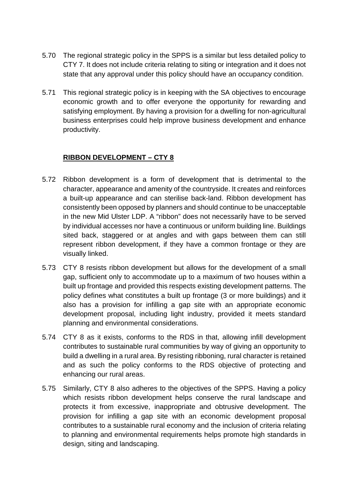- 5.70 The regional strategic policy in the SPPS is a similar but less detailed policy to CTY 7. It does not include criteria relating to siting or integration and it does not state that any approval under this policy should have an occupancy condition.
- 5.71 This regional strategic policy is in keeping with the SA objectives to encourage economic growth and to offer everyone the opportunity for rewarding and satisfying employment. By having a provision for a dwelling for non-agricultural business enterprises could help improve business development and enhance productivity.

# **RIBBON DEVELOPMENT – CTY 8**

- 5.72 Ribbon development is a form of development that is detrimental to the character, appearance and amenity of the countryside. It creates and reinforces a built-up appearance and can sterilise back-land. Ribbon development has consistently been opposed by planners and should continue to be unacceptable in the new Mid Ulster LDP. A "ribbon" does not necessarily have to be served by individual accesses nor have a continuous or uniform building line. Buildings sited back, staggered or at angles and with gaps between them can still represent ribbon development, if they have a common frontage or they are visually linked.
- 5.73 CTY 8 resists ribbon development but allows for the development of a small gap, sufficient only to accommodate up to a maximum of two houses within a built up frontage and provided this respects existing development patterns. The policy defines what constitutes a built up frontage (3 or more buildings) and it also has a provision for infilling a gap site with an appropriate economic development proposal, including light industry, provided it meets standard planning and environmental considerations.
- 5.74 CTY 8 as it exists, conforms to the RDS in that, allowing infill development contributes to sustainable rural communities by way of giving an opportunity to build a dwelling in a rural area. By resisting ribboning, rural character is retained and as such the policy conforms to the RDS objective of protecting and enhancing our rural areas.
- 5.75 Similarly, CTY 8 also adheres to the objectives of the SPPS. Having a policy which resists ribbon development helps conserve the rural landscape and protects it from excessive, inappropriate and obtrusive development. The provision for infilling a gap site with an economic development proposal contributes to a sustainable rural economy and the inclusion of criteria relating to planning and environmental requirements helps promote high standards in design, siting and landscaping.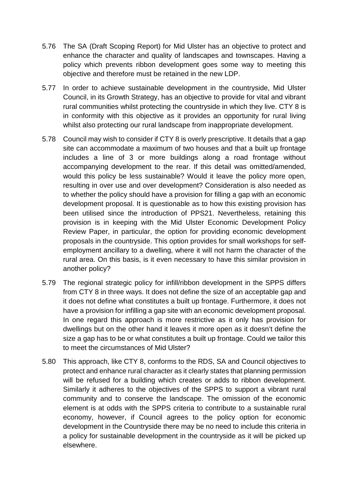- 5.76 The SA (Draft Scoping Report) for Mid Ulster has an objective to protect and enhance the character and quality of landscapes and townscapes. Having a policy which prevents ribbon development goes some way to meeting this objective and therefore must be retained in the new LDP.
- 5.77 In order to achieve sustainable development in the countryside, Mid Ulster Council, in its Growth Strategy, has an objective to provide for vital and vibrant rural communities whilst protecting the countryside in which they live. CTY 8 is in conformity with this objective as it provides an opportunity for rural living whilst also protecting our rural landscape from inappropriate development.
- 5.78 Council may wish to consider if CTY 8 is overly prescriptive. It details that a gap site can accommodate a maximum of two houses and that a built up frontage includes a line of 3 or more buildings along a road frontage without accompanying development to the rear. If this detail was omitted/amended, would this policy be less sustainable? Would it leave the policy more open, resulting in over use and over development? Consideration is also needed as to whether the policy should have a provision for filling a gap with an economic development proposal. It is questionable as to how this existing provision has been utilised since the introduction of PPS21. Nevertheless, retaining this provision is in keeping with the Mid Ulster Economic Development Policy Review Paper, in particular, the option for providing economic development proposals in the countryside. This option provides for small workshops for selfemployment ancillary to a dwelling, where it will not harm the character of the rural area. On this basis, is it even necessary to have this similar provision in another policy?
- 5.79 The regional strategic policy for infill/ribbon development in the SPPS differs from CTY 8 in three ways. It does not define the size of an acceptable gap and it does not define what constitutes a built up frontage. Furthermore, it does not have a provision for infilling a gap site with an economic development proposal. In one regard this approach is more restrictive as it only has provision for dwellings but on the other hand it leaves it more open as it doesn't define the size a gap has to be or what constitutes a built up frontage. Could we tailor this to meet the circumstances of Mid Ulster?
- 5.80 This approach, like CTY 8, conforms to the RDS, SA and Council objectives to protect and enhance rural character as it clearly states that planning permission will be refused for a building which creates or adds to ribbon development. Similarly it adheres to the objectives of the SPPS to support a vibrant rural community and to conserve the landscape. The omission of the economic element is at odds with the SPPS criteria to contribute to a sustainable rural economy, however, if Council agrees to the policy option for economic development in the Countryside there may be no need to include this criteria in a policy for sustainable development in the countryside as it will be picked up elsewhere.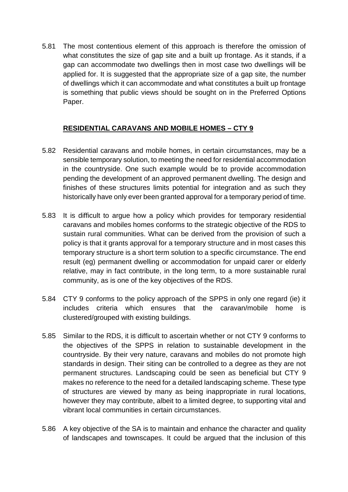5.81 The most contentious element of this approach is therefore the omission of what constitutes the size of gap site and a built up frontage. As it stands, if a gap can accommodate two dwellings then in most case two dwellings will be applied for. It is suggested that the appropriate size of a gap site, the number of dwellings which it can accommodate and what constitutes a built up frontage is something that public views should be sought on in the Preferred Options Paper.

# **RESIDENTIAL CARAVANS AND MOBILE HOMES – CTY 9**

- 5.82 Residential caravans and mobile homes, in certain circumstances, may be a sensible temporary solution, to meeting the need for residential accommodation in the countryside. One such example would be to provide accommodation pending the development of an approved permanent dwelling. The design and finishes of these structures limits potential for integration and as such they historically have only ever been granted approval for a temporary period of time.
- 5.83 It is difficult to argue how a policy which provides for temporary residential caravans and mobiles homes conforms to the strategic objective of the RDS to sustain rural communities. What can be derived from the provision of such a policy is that it grants approval for a temporary structure and in most cases this temporary structure is a short term solution to a specific circumstance. The end result (eg) permanent dwelling or accommodation for unpaid carer or elderly relative, may in fact contribute, in the long term, to a more sustainable rural community, as is one of the key objectives of the RDS.
- 5.84 CTY 9 conforms to the policy approach of the SPPS in only one regard (ie) it includes criteria which ensures that the caravan/mobile home is clustered/grouped with existing buildings.
- 5.85 Similar to the RDS, it is difficult to ascertain whether or not CTY 9 conforms to the objectives of the SPPS in relation to sustainable development in the countryside. By their very nature, caravans and mobiles do not promote high standards in design. Their siting can be controlled to a degree as they are not permanent structures. Landscaping could be seen as beneficial but CTY 9 makes no reference to the need for a detailed landscaping scheme. These type of structures are viewed by many as being inappropriate in rural locations, however they may contribute, albeit to a limited degree, to supporting vital and vibrant local communities in certain circumstances.
- 5.86 A key objective of the SA is to maintain and enhance the character and quality of landscapes and townscapes. It could be argued that the inclusion of this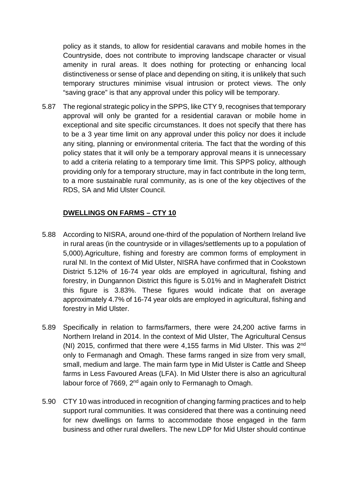policy as it stands, to allow for residential caravans and mobile homes in the Countryside, does not contribute to improving landscape character or visual amenity in rural areas. It does nothing for protecting or enhancing local distinctiveness or sense of place and depending on siting, it is unlikely that such temporary structures minimise visual intrusion or protect views. The only "saving grace" is that any approval under this policy will be temporary.

5.87 The regional strategic policy in the SPPS, like CTY 9, recognises that temporary approval will only be granted for a residential caravan or mobile home in exceptional and site specific circumstances. It does not specify that there has to be a 3 year time limit on any approval under this policy nor does it include any siting, planning or environmental criteria. The fact that the wording of this policy states that it will only be a temporary approval means it is unnecessary to add a criteria relating to a temporary time limit. This SPPS policy, although providing only for a temporary structure, may in fact contribute in the long term, to a more sustainable rural community, as is one of the key objectives of the RDS, SA and Mid Ulster Council.

# **DWELLINGS ON FARMS – CTY 10**

- 5.88 According to NISRA, around one-third of the population of Northern Ireland live in rural areas (in the countryside or in villages/settlements up to a population of 5,000).Agriculture, fishing and forestry are common forms of employment in rural NI. In the context of Mid Ulster, NISRA have confirmed that in Cookstown District 5.12% of 16-74 year olds are employed in agricultural, fishing and forestry, in Dungannon District this figure is 5.01% and in Magherafelt District this figure is 3.83%. These figures would indicate that on average approximately 4.7% of 16-74 year olds are employed in agricultural, fishing and forestry in Mid Ulster.
- 5.89 Specifically in relation to farms/farmers, there were 24,200 active farms in Northern Ireland in 2014. In the context of Mid Ulster, The Agricultural Census (NI) 2015, confirmed that there were 4,155 farms in Mid Ulster. This was 2nd only to Fermanagh and Omagh. These farms ranged in size from very small, small, medium and large. The main farm type in Mid Ulster is Cattle and Sheep farms in Less Favoured Areas (LFA). In Mid Ulster there is also an agricultural labour force of 7669, 2<sup>nd</sup> again only to Fermanagh to Omagh.
- 5.90 CTY 10 was introduced in recognition of changing farming practices and to help support rural communities. It was considered that there was a continuing need for new dwellings on farms to accommodate those engaged in the farm business and other rural dwellers. The new LDP for Mid Ulster should continue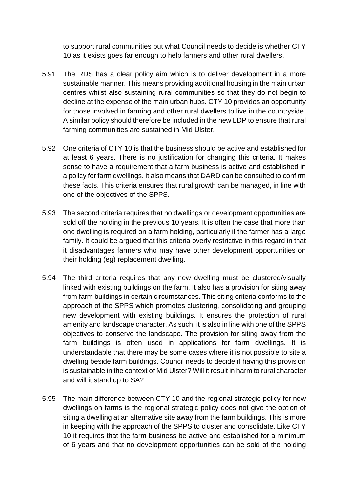to support rural communities but what Council needs to decide is whether CTY 10 as it exists goes far enough to help farmers and other rural dwellers.

- 5.91 The RDS has a clear policy aim which is to deliver development in a more sustainable manner. This means providing additional housing in the main urban centres whilst also sustaining rural communities so that they do not begin to decline at the expense of the main urban hubs. CTY 10 provides an opportunity for those involved in farming and other rural dwellers to live in the countryside. A similar policy should therefore be included in the new LDP to ensure that rural farming communities are sustained in Mid Ulster.
- 5.92 One criteria of CTY 10 is that the business should be active and established for at least 6 years. There is no justification for changing this criteria. It makes sense to have a requirement that a farm business is active and established in a policy for farm dwellings. It also means that DARD can be consulted to confirm these facts. This criteria ensures that rural growth can be managed, in line with one of the objectives of the SPPS.
- 5.93 The second criteria requires that no dwellings or development opportunities are sold off the holding in the previous 10 years. It is often the case that more than one dwelling is required on a farm holding, particularly if the farmer has a large family. It could be argued that this criteria overly restrictive in this regard in that it disadvantages farmers who may have other development opportunities on their holding (eg) replacement dwelling.
- 5.94 The third criteria requires that any new dwelling must be clustered/visually linked with existing buildings on the farm. It also has a provision for siting away from farm buildings in certain circumstances. This siting criteria conforms to the approach of the SPPS which promotes clustering, consolidating and grouping new development with existing buildings. It ensures the protection of rural amenity and landscape character. As such, it is also in line with one of the SPPS objectives to conserve the landscape. The provision for siting away from the farm buildings is often used in applications for farm dwellings. It is understandable that there may be some cases where it is not possible to site a dwelling beside farm buildings. Council needs to decide if having this provision is sustainable in the context of Mid Ulster? Will it result in harm to rural character and will it stand up to SA?
- 5.95 The main difference between CTY 10 and the regional strategic policy for new dwellings on farms is the regional strategic policy does not give the option of siting a dwelling at an alternative site away from the farm buildings. This is more in keeping with the approach of the SPPS to cluster and consolidate. Like CTY 10 it requires that the farm business be active and established for a minimum of 6 years and that no development opportunities can be sold of the holding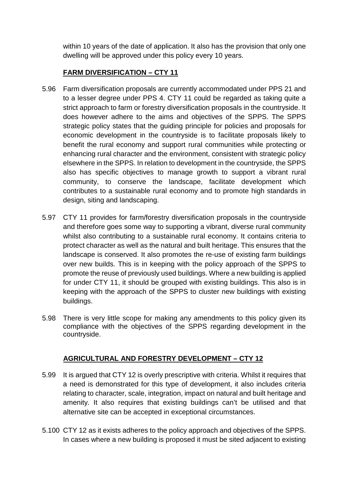within 10 years of the date of application. It also has the provision that only one dwelling will be approved under this policy every 10 years.

# **FARM DIVERSIFICATION – CTY 11**

- 5.96 Farm diversification proposals are currently accommodated under PPS 21 and to a lesser degree under PPS 4. CTY 11 could be regarded as taking quite a strict approach to farm or forestry diversification proposals in the countryside. It does however adhere to the aims and objectives of the SPPS. The SPPS strategic policy states that the guiding principle for policies and proposals for economic development in the countryside is to facilitate proposals likely to benefit the rural economy and support rural communities while protecting or enhancing rural character and the environment, consistent with strategic policy elsewhere in the SPPS. In relation to development in the countryside, the SPPS also has specific objectives to manage growth to support a vibrant rural community, to conserve the landscape, facilitate development which contributes to a sustainable rural economy and to promote high standards in design, siting and landscaping.
- 5.97 CTY 11 provides for farm/forestry diversification proposals in the countryside and therefore goes some way to supporting a vibrant, diverse rural community whilst also contributing to a sustainable rural economy. It contains criteria to protect character as well as the natural and built heritage. This ensures that the landscape is conserved. It also promotes the re-use of existing farm buildings over new builds. This is in keeping with the policy approach of the SPPS to promote the reuse of previously used buildings. Where a new building is applied for under CTY 11, it should be grouped with existing buildings. This also is in keeping with the approach of the SPPS to cluster new buildings with existing buildings.
- 5.98 There is very little scope for making any amendments to this policy given its compliance with the objectives of the SPPS regarding development in the countryside.

# **AGRICULTURAL AND FORESTRY DEVELOPMENT – CTY 12**

- 5.99 It is argued that CTY 12 is overly prescriptive with criteria. Whilst it requires that a need is demonstrated for this type of development, it also includes criteria relating to character, scale, integration, impact on natural and built heritage and amenity. It also requires that existing buildings can't be utilised and that alternative site can be accepted in exceptional circumstances.
- 5.100 CTY 12 as it exists adheres to the policy approach and objectives of the SPPS. In cases where a new building is proposed it must be sited adjacent to existing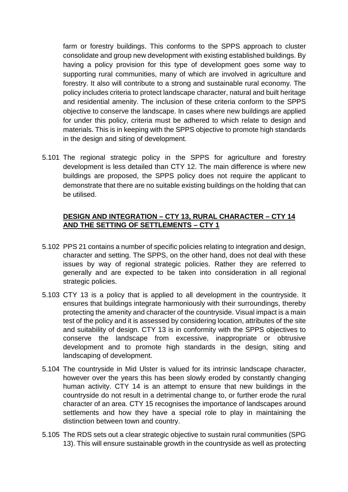farm or forestry buildings. This conforms to the SPPS approach to cluster consolidate and group new development with existing established buildings. By having a policy provision for this type of development goes some way to supporting rural communities, many of which are involved in agriculture and forestry. It also will contribute to a strong and sustainable rural economy. The policy includes criteria to protect landscape character, natural and built heritage and residential amenity. The inclusion of these criteria conform to the SPPS objective to conserve the landscape. In cases where new buildings are applied for under this policy, criteria must be adhered to which relate to design and materials. This is in keeping with the SPPS objective to promote high standards in the design and siting of development.

5.101 The regional strategic policy in the SPPS for agriculture and forestry development is less detailed than CTY 12. The main difference is where new buildings are proposed, the SPPS policy does not require the applicant to demonstrate that there are no suitable existing buildings on the holding that can be utilised.

# **DESIGN AND INTEGRATION – CTY 13, RURAL CHARACTER – CTY 14 AND THE SETTING OF SETTLEMENTS – CTY 1**

- 5.102 PPS 21 contains a number of specific policies relating to integration and design, character and setting. The SPPS, on the other hand, does not deal with these issues by way of regional strategic policies. Rather they are referred to generally and are expected to be taken into consideration in all regional strategic policies.
- 5.103 CTY 13 is a policy that is applied to all development in the countryside. It ensures that buildings integrate harmoniously with their surroundings, thereby protecting the amenity and character of the countryside. Visual impact is a main test of the policy and it is assessed by considering location, attributes of the site and suitability of design. CTY 13 is in conformity with the SPPS objectives to conserve the landscape from excessive, inappropriate or obtrusive development and to promote high standards in the design, siting and landscaping of development.
- 5.104 The countryside in Mid Ulster is valued for its intrinsic landscape character, however over the years this has been slowly eroded by constantly changing human activity. CTY 14 is an attempt to ensure that new buildings in the countryside do not result in a detrimental change to, or further erode the rural character of an area. CTY 15 recognises the importance of landscapes around settlements and how they have a special role to play in maintaining the distinction between town and country.
- 5.105 The RDS sets out a clear strategic objective to sustain rural communities (SPG 13). This will ensure sustainable growth in the countryside as well as protecting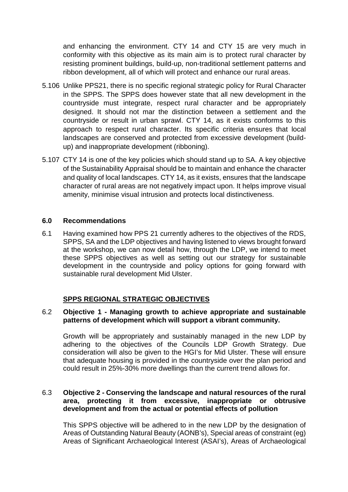and enhancing the environment. CTY 14 and CTY 15 are very much in conformity with this objective as its main aim is to protect rural character by resisting prominent buildings, build-up, non-traditional settlement patterns and ribbon development, all of which will protect and enhance our rural areas.

- 5.106 Unlike PPS21, there is no specific regional strategic policy for Rural Character in the SPPS. The SPPS does however state that all new development in the countryside must integrate, respect rural character and be appropriately designed. It should not mar the distinction between a settlement and the countryside or result in urban sprawl. CTY 14, as it exists conforms to this approach to respect rural character. Its specific criteria ensures that local landscapes are conserved and protected from excessive development (buildup) and inappropriate development (ribboning).
- 5.107 CTY 14 is one of the key policies which should stand up to SA. A key objective of the Sustainability Appraisal should be to maintain and enhance the character and quality of local landscapes. CTY 14, as it exists, ensures that the landscape character of rural areas are not negatively impact upon. It helps improve visual amenity, minimise visual intrusion and protects local distinctiveness.

#### **6.0 Recommendations**

6.1 Having examined how PPS 21 currently adheres to the objectives of the RDS, SPPS, SA and the LDP objectives and having listened to views brought forward at the workshop, we can now detail how, through the LDP, we intend to meet these SPPS objectives as well as setting out our strategy for sustainable development in the countryside and policy options for going forward with sustainable rural development Mid Ulster.

#### **SPPS REGIONAL STRATEGIC OBJECTIVES**

#### 6.2 **Objective 1 - Managing growth to achieve appropriate and sustainable patterns of development which will support a vibrant community.**

Growth will be appropriately and sustainably managed in the new LDP by adhering to the objectives of the Councils LDP Growth Strategy. Due consideration will also be given to the HGI's for Mid Ulster. These will ensure that adequate housing is provided in the countryside over the plan period and could result in 25%-30% more dwellings than the current trend allows for.

### 6.3 **Objective 2 - Conserving the landscape and natural resources of the rural area, protecting it from excessive, inappropriate or obtrusive development and from the actual or potential effects of pollution**

This SPPS objective will be adhered to in the new LDP by the designation of Areas of Outstanding Natural Beauty (AONB's), Special areas of constraint (eg) Areas of Significant Archaeological Interest (ASAI's), Areas of Archaeological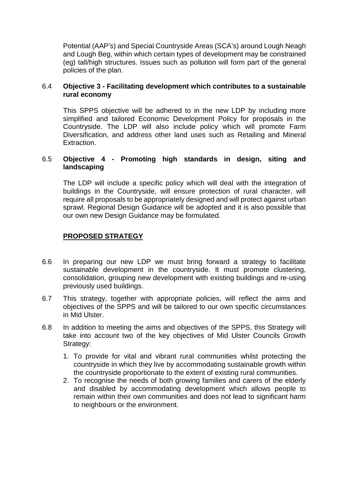Potential (AAP's) and Special Countryside Areas (SCA's) around Lough Neagh and Lough Beg, within which certain types of development may be constrained (eg) tall/high structures. Issues such as pollution will form part of the general policies of the plan.

#### 6.4 **Objective 3 - Facilitating development which contributes to a sustainable rural economy**

This SPPS objective will be adhered to in the new LDP by including more simplified and tailored Economic Development Policy for proposals in the Countryside. The LDP will also include policy which will promote Farm Diversification, and address other land uses such as Retailing and Mineral Extraction.

### 6.5 **Objective 4 - Promoting high standards in design, siting and landscaping**

The LDP will include a specific policy which will deal with the integration of buildings in the Countryside, will ensure protection of rural character, will require all proposals to be appropriately designed and will protect against urban sprawl. Regional Design Guidance will be adopted and it is also possible that our own new Design Guidance may be formulated.

### **PROPOSED STRATEGY**

- 6.6 In preparing our new LDP we must bring forward a strategy to facilitate sustainable development in the countryside. It must promote clustering, consolidation, grouping new development with existing buildings and re-using previously used buildings.
- 6.7 This strategy, together with appropriate policies, will reflect the aims and objectives of the SPPS and will be tailored to our own specific circumstances in Mid Ulster.
- 6.8 In addition to meeting the aims and objectives of the SPPS, this Strategy will take into account two of the key objectives of Mid Ulster Councils Growth Strategy:
	- 1. To provide for vital and vibrant rural communities whilst protecting the countryside in which they live by accommodating sustainable growth within the countryside proportionate to the extent of existing rural communities.
	- 2. To recognise the needs of both growing families and carers of the elderly and disabled by accommodating development which allows people to remain within their own communities and does not lead to significant harm to neighbours or the environment.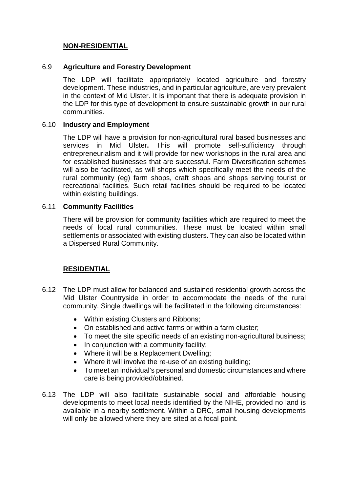### **NON-RESIDENTIAL**

#### 6.9 **Agriculture and Forestry Development**

The LDP will facilitate appropriately located agriculture and forestry development. These industries, and in particular agriculture, are very prevalent in the context of Mid Ulster. It is important that there is adequate provision in the LDP for this type of development to ensure sustainable growth in our rural communities.

#### 6.10 **Industry and Employment**

The LDP will have a provision for non-agricultural rural based businesses and services in Mid Ulster**.** This will promote self-sufficiency through entrepreneurialism and it will provide for new workshops in the rural area and for established businesses that are successful. Farm Diversification schemes will also be facilitated, as will shops which specifically meet the needs of the rural community (eg) farm shops, craft shops and shops serving tourist or recreational facilities. Such retail facilities should be required to be located within existing buildings.

#### 6.11 **Community Facilities**

There will be provision for community facilities which are required to meet the needs of local rural communities. These must be located within small settlements or associated with existing clusters. They can also be located within a Dispersed Rural Community.

#### **RESIDENTIAL**

- 6.12 The LDP must allow for balanced and sustained residential growth across the Mid Ulster Countryside in order to accommodate the needs of the rural community. Single dwellings will be facilitated in the following circumstances:
	- Within existing Clusters and Ribbons;
	- On established and active farms or within a farm cluster;
	- To meet the site specific needs of an existing non-agricultural business;
	- In conjunction with a community facility:
	- Where it will be a Replacement Dwelling;
	- Where it will involve the re-use of an existing building;
	- To meet an individual's personal and domestic circumstances and where care is being provided/obtained.
- 6.13 The LDP will also facilitate sustainable social and affordable housing developments to meet local needs identified by the NIHE, provided no land is available in a nearby settlement. Within a DRC, small housing developments will only be allowed where they are sited at a focal point.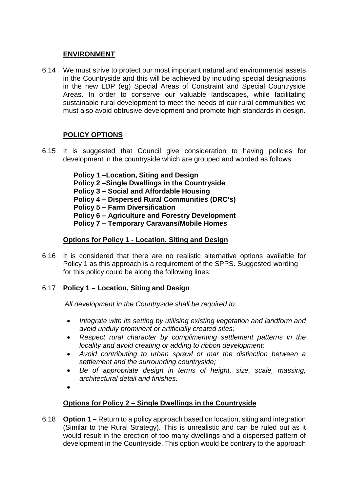### **ENVIRONMENT**

6.14 We must strive to protect our most important natural and environmental assets in the Countryside and this will be achieved by including special designations in the new LDP (eg) Special Areas of Constraint and Special Countryside Areas. In order to conserve our valuable landscapes, while facilitating sustainable rural development to meet the needs of our rural communities we must also avoid obtrusive development and promote high standards in design.

# **POLICY OPTIONS**

6.15 It is suggested that Council give consideration to having policies for development in the countryside which are grouped and worded as follows.

> **Policy 1 –Location, Siting and Design Policy 2 –Single Dwellings in the Countryside Policy 3 – Social and Affordable Housing Policy 4 – Dispersed Rural Communities (DRC's) Policy 5 – Farm Diversification Policy 6 – Agriculture and Forestry Development Policy 7 – Temporary Caravans/Mobile Homes**

# **Options for Policy 1 - Location, Siting and Design**

6.16 It is considered that there are no realistic alternative options available for Policy 1 as this approach is a requirement of the SPPS. Suggested wording for this policy could be along the following lines:

# 6.17 **Policy 1 – Location, Siting and Design**

*All development in the Countryside shall be required to:*

- *Integrate with its setting by utilising existing vegetation and landform and avoid unduly prominent or artificially created sites;*
- *Respect rural character by complimenting settlement patterns in the locality and avoid creating or adding to ribbon development;*
- *Avoid contributing to urban sprawl or mar the distinction between a settlement and the surrounding countryside;*
- *Be of appropriate design in terms of height, size, scale, massing, architectural detail and finishes.*
- •

# **Options for Policy 2 – Single Dwellings in the Countryside**

6.18 **Option 1 –** Return to a policy approach based on location, siting and integration (Similar to the Rural Strategy). This is unrealistic and can be ruled out as it would result in the erection of too many dwellings and a dispersed pattern of development in the Countryside. This option would be contrary to the approach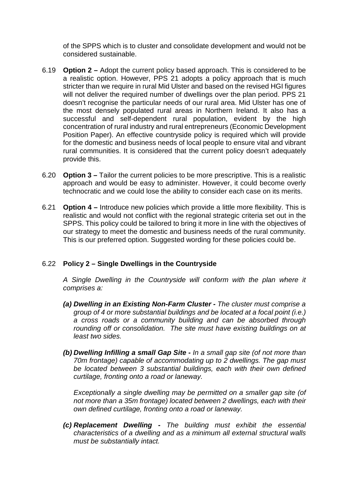of the SPPS which is to cluster and consolidate development and would not be considered sustainable.

- 6.19 **Option 2 –** Adopt the current policy based approach. This is considered to be a realistic option. However, PPS 21 adopts a policy approach that is much stricter than we require in rural Mid Ulster and based on the revised HGI figures will not deliver the required number of dwellings over the plan period. PPS 21 doesn't recognise the particular needs of our rural area. Mid Ulster has one of the most densely populated rural areas in Northern Ireland. It also has a successful and self-dependent rural population, evident by the high concentration of rural industry and rural entrepreneurs (Economic Development Position Paper). An effective countryside policy is required which will provide for the domestic and business needs of local people to ensure vital and vibrant rural communities. It is considered that the current policy doesn't adequately provide this.
- 6.20 **Option 3 –** Tailor the current policies to be more prescriptive. This is a realistic approach and would be easy to administer. However, it could become overly technocratic and we could lose the ability to consider each case on its merits.
- 6.21 **Option 4 –** Introduce new policies which provide a little more flexibility. This is realistic and would not conflict with the regional strategic criteria set out in the SPPS. This policy could be tailored to bring it more in line with the objectives of our strategy to meet the domestic and business needs of the rural community. This is our preferred option. Suggested wording for these policies could be.

# 6.22 **Policy 2 – Single Dwellings in the Countryside**

*A Single Dwelling in the Countryside will conform with the plan where it comprises a:*

- *(a) Dwelling in an Existing Non-Farm Cluster - The cluster must comprise a group of 4 or more substantial buildings and be located at a focal point (i.e.) a cross roads or a community building and can be absorbed through rounding off or consolidation. The site must have existing buildings on at least two sides.*
- *(b) Dwelling Infilling a small Gap Site - In a small gap site (of not more than 70m frontage) capable of accommodating up to 2 dwellings. The gap must be located between 3 substantial buildings, each with their own defined curtilage, fronting onto a road or laneway.*

*Exceptionally a single dwelling may be permitted on a smaller gap site (of not more than a 35m frontage) located between 2 dwellings, each with their own defined curtilage, fronting onto a road or laneway.*

*(c) Replacement Dwelling - The building must exhibit the essential characteristics of a dwelling and as a minimum all external structural walls must be substantially intact.*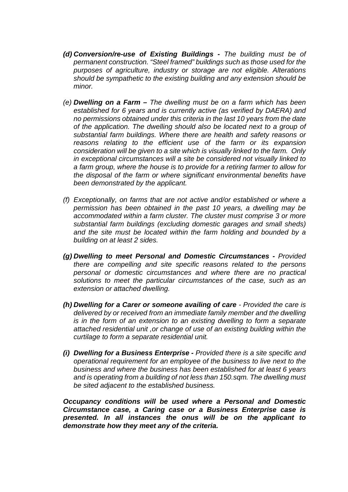- *(d) Conversion/re-use of Existing Buildings - The building must be of permanent construction. "Steel framed" buildings such as those used for the purposes of agriculture, industry or storage are not eligible. Alterations should be sympathetic to the existing building and any extension should be minor.*
- *(e) Dwelling on a Farm – The dwelling must be on a farm which has been established for 6 years and is currently active (as verified by DAERA) and no permissions obtained under this criteria in the last 10 years from the date of the application. The dwelling should also be located next to a group of substantial farm buildings. Where there are health and safety reasons or reasons relating to the efficient use of the farm or its expansion consideration will be given to a site which is visually linked to the farm. Only in exceptional circumstances will a site be considered not visually linked to a farm group, where the house is to provide for a retiring farmer to allow for the disposal of the farm or where significant environmental benefits have been demonstrated by the applicant.*
- *(f) Exceptionally, on farms that are not active and/or established or where a permission has been obtained in the past 10 years, a dwelling may be accommodated within a farm cluster. The cluster must comprise 3 or more substantial farm buildings (excluding domestic garages and small sheds) and the site must be located within the farm holding and bounded by a building on at least 2 sides.*
- *(g) Dwelling to meet Personal and Domestic Circumstances - Provided there are compelling and site specific reasons related to the persons personal or domestic circumstances and where there are no practical solutions to meet the particular circumstances of the case, such as an extension or attached dwelling.*
- *(h) Dwelling for a Carer or someone availing of care - Provided the care is delivered by or received from an immediate family member and the dwelling is in the form of an extension to an existing dwelling to form a separate attached residential unit ,or change of use of an existing building within the curtilage to form a separate residential unit.*
- *(i) Dwelling for a Business Enterprise - Provided there is a site specific and operational requirement for an employee of the business to live next to the business and where the business has been established for at least 6 years and is operating from a building of not less than 150.sqm. The dwelling must be sited adjacent to the established business.*

*Occupancy conditions will be used where a Personal and Domestic Circumstance case, a Caring case or a Business Enterprise case is presented. In all instances the onus will be on the applicant to demonstrate how they meet any of the criteria.*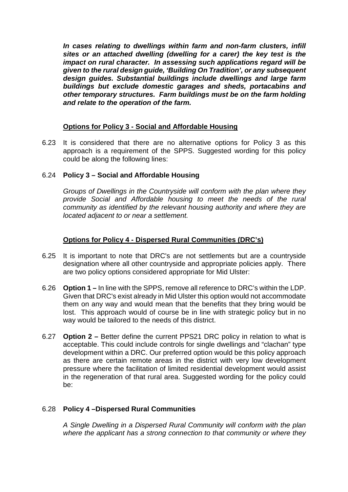*In cases relating to dwellings within farm and non-farm clusters, infill sites or an attached dwelling (dwelling for a carer) the key test is the impact on rural character. In assessing such applications regard will be given to the rural design guide, 'Building On Tradition', or any subsequent design guides. Substantial buildings include dwellings and large farm buildings but exclude domestic garages and sheds, portacabins and other temporary structures. Farm buildings must be on the farm holding and relate to the operation of the farm.*

### **Options for Policy 3 - Social and Affordable Housing**

6.23 It is considered that there are no alternative options for Policy 3 as this approach is a requirement of the SPPS. Suggested wording for this policy could be along the following lines:

#### 6.24 **Policy 3 – Social and Affordable Housing**

*Groups of Dwellings in the Countryside will conform with the plan where they provide Social and Affordable housing to meet the needs of the rural community as identified by the relevant housing authority and where they are located adjacent to or near a settlement.*

### **Options for Policy 4 - Dispersed Rural Communities (DRC's)**

- 6.25 It is important to note that DRC's are not settlements but are a countryside designation where all other countryside and appropriate policies apply. There are two policy options considered appropriate for Mid Ulster:
- 6.26 **Option 1 –** In line with the SPPS, remove all reference to DRC's within the LDP. Given that DRC's exist already in Mid Ulster this option would not accommodate them on any way and would mean that the benefits that they bring would be lost. This approach would of course be in line with strategic policy but in no way would be tailored to the needs of this district.
- 6.27 **Option 2 –** Better define the current PPS21 DRC policy in relation to what is acceptable. This could include controls for single dwellings and "clachan" type development within a DRC. Our preferred option would be this policy approach as there are certain remote areas in the district with very low development pressure where the facilitation of limited residential development would assist in the regeneration of that rural area. Suggested wording for the policy could be:

#### 6.28 **Policy 4 –Dispersed Rural Communities**

*A Single Dwelling in a Dispersed Rural Community will conform with the plan where the applicant has a strong connection to that community or where they*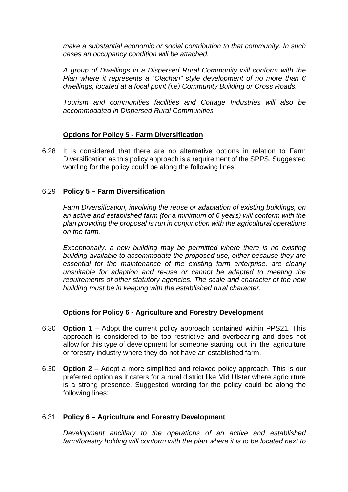*make a substantial economic or social contribution to that community. In such cases an occupancy condition will be attached.*

*A group of Dwellings in a Dispersed Rural Community will conform with the Plan where it represents a "Clachan" style development of no more than 6 dwellings, located at a focal point (i.e) Community Building or Cross Roads.*

*Tourism and communities facilities and Cottage Industries will also be accommodated in Dispersed Rural Communities*

### **Options for Policy 5 - Farm Diversification**

6.28 It is considered that there are no alternative options in relation to Farm Diversification as this policy approach is a requirement of the SPPS. Suggested wording for the policy could be along the following lines:

#### 6.29 **Policy 5 – Farm Diversification**

*Farm Diversification, involving the reuse or adaptation of existing buildings, on an active and established farm (for a minimum of 6 years) will conform with the plan providing the proposal is run in conjunction with the agricultural operations on the farm.* 

*Exceptionally, a new building may be permitted where there is no existing building available to accommodate the proposed use, either because they are essential for the maintenance of the existing farm enterprise, are clearly unsuitable for adaption and re-use or cannot be adapted to meeting the requirements of other statutory agencies. The scale and character of the new building must be in keeping with the established rural character.*

#### **Options for Policy 6 - Agriculture and Forestry Development**

- 6.30 **Option 1** Adopt the current policy approach contained within PPS21. This approach is considered to be too restrictive and overbearing and does not allow for this type of development for someone starting out in the agriculture or forestry industry where they do not have an established farm.
- 6.30 **Option 2** Adopt a more simplified and relaxed policy approach. This is our preferred option as it caters for a rural district like Mid Ulster where agriculture is a strong presence. Suggested wording for the policy could be along the following lines:

#### 6.31 **Policy 6 – Agriculture and Forestry Development**

*Development ancillary to the operations of an active and established farm/forestry holding will conform with the plan where it is to be located next to*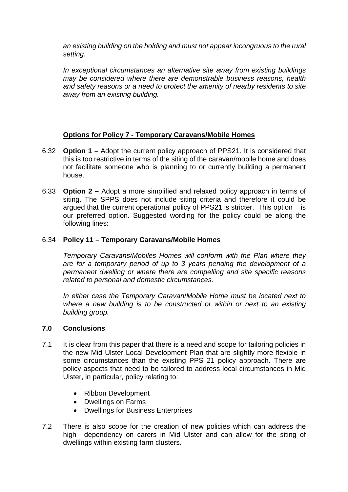*an existing building on the holding and must not appear incongruous to the rural setting.*

*In exceptional circumstances an alternative site away from existing buildings may be considered where there are demonstrable business reasons, health and safety reasons or a need to protect the amenity of nearby residents to site away from an existing building.*

# **Options for Policy 7 - Temporary Caravans/Mobile Homes**

- 6.32 **Option 1 –** Adopt the current policy approach of PPS21. It is considered that this is too restrictive in terms of the siting of the caravan/mobile home and does not facilitate someone who is planning to or currently building a permanent house.
- 6.33 **Option 2 –** Adopt a more simplified and relaxed policy approach in terms of siting. The SPPS does not include siting criteria and therefore it could be argued that the current operational policy of PPS21 is stricter. This option is our preferred option. Suggested wording for the policy could be along the following lines:

### 6.34 **Policy 11 – Temporary Caravans/Mobile Homes**

*Temporary Caravans/Mobiles Homes will conform with the Plan where they are for a temporary period of up to 3 years pending the development of a permanent dwelling or where there are compelling and site specific reasons related to personal and domestic circumstances.* 

*In either case the Temporary Caravan*/*Mobile Home must be located next to*  where a new building is to be constructed or within or next to an existing *building group.*

#### **7.0 Conclusions**

- 7.1 It is clear from this paper that there is a need and scope for tailoring policies in the new Mid Ulster Local Development Plan that are slightly more flexible in some circumstances than the existing PPS 21 policy approach. There are policy aspects that need to be tailored to address local circumstances in Mid Ulster, in particular, policy relating to:
	- Ribbon Development
	- Dwellings on Farms
	- Dwellings for Business Enterprises
- 7.2 There is also scope for the creation of new policies which can address the high dependency on carers in Mid Ulster and can allow for the siting of dwellings within existing farm clusters.